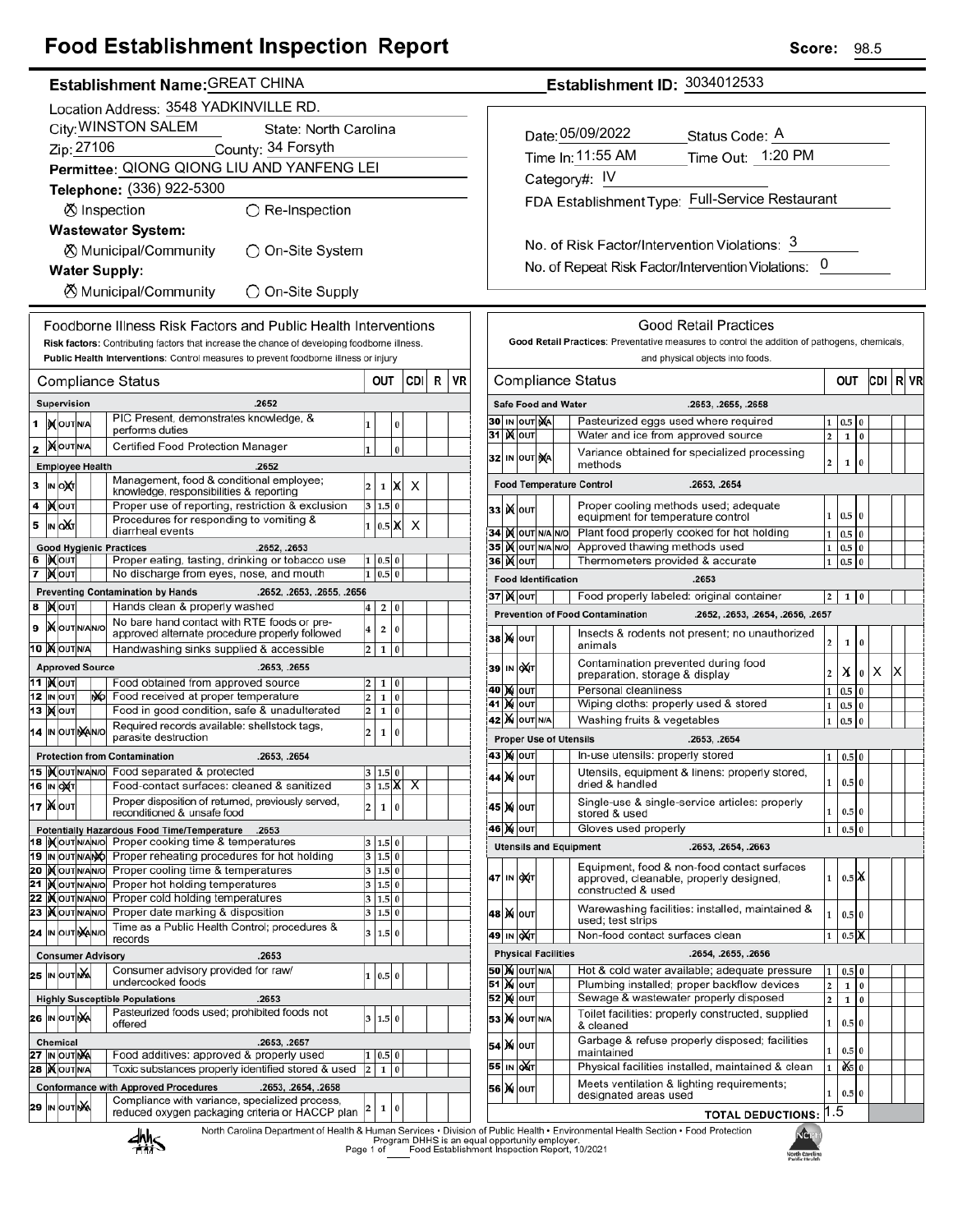## **Food Establishment Inspection Report**

#### Establishment Name: GREAT CHINA

|    | Location Address: 3548 YADKINVILLE RD.       |                               |  |    |                                                                                                         |        |                           |           |      |   |    |  |
|----|----------------------------------------------|-------------------------------|--|----|---------------------------------------------------------------------------------------------------------|--------|---------------------------|-----------|------|---|----|--|
|    | City: WINSTON SALEM<br>State: North Carolina |                               |  |    |                                                                                                         |        |                           |           |      |   |    |  |
|    | Zip: 27106<br>County: 34 Forsyth             |                               |  |    |                                                                                                         |        |                           |           |      |   |    |  |
|    | Permittee: QIONG QIONG LIU AND YANFENG LEI   |                               |  |    |                                                                                                         |        |                           |           |      |   |    |  |
|    |                                              |                               |  |    | Telephone: (336) 922-5300                                                                               |        |                           |           |      |   |    |  |
|    | ○ Re-Inspection<br><b>Ø</b> Inspection       |                               |  |    |                                                                                                         |        |                           |           |      |   |    |  |
|    | <b>Wastewater System:</b>                    |                               |  |    |                                                                                                         |        |                           |           |      |   |    |  |
|    | ⊗ Municipal/Community<br>◯ On-Site System    |                               |  |    |                                                                                                         |        |                           |           |      |   |    |  |
|    |                                              |                               |  |    | <b>Water Supply:</b>                                                                                    |        |                           |           |      |   |    |  |
|    |                                              |                               |  |    | <b><math>\oslash</math> Municipal/Community</b><br>$\bigcirc$ On-Site Supply                            |        |                           |           |      |   |    |  |
|    |                                              |                               |  |    | Foodborne Illness Risk Factors and Public Health Interventions                                          |        |                           |           |      |   |    |  |
|    |                                              |                               |  |    | Risk factors: Contributing factors that increase the chance of developing foodborne illness.            |        |                           |           |      |   |    |  |
|    |                                              |                               |  |    | Public Health Interventions: Control measures to prevent foodborne illness or injury                    |        |                           |           |      |   |    |  |
|    |                                              |                               |  |    | <b>Compliance Status</b>                                                                                |        | OUT                       |           | CDII | R | VR |  |
|    |                                              | Supervision                   |  |    | .2652                                                                                                   |        |                           |           |      |   |    |  |
| 1  |                                              | IN OUT N/A                    |  |    | PIC Present, demonstrates knowledge, &<br>performs duties                                               | 1      |                           | 0         |      |   |    |  |
| 2  |                                              | <b>MOUTNA</b>                 |  |    | Certified Food Protection Manager                                                                       | 1      |                           | $\bf{0}$  |      |   |    |  |
|    |                                              | <b>Employee Health</b>        |  |    | .2652                                                                                                   |        |                           |           |      |   |    |  |
| 3  |                                              | IN OXT                        |  |    | Management, food & conditional employee;<br>knowledge, responsibilities & reporting                     | 2      | 1                         | IX        | x    |   |    |  |
| 4  |                                              | <b>K</b> out                  |  |    | Proper use of reporting, restriction & exclusion                                                        | 3      | 1.5 0                     |           |      |   |    |  |
| 5  | IN                                           | lоXл                          |  |    | Procedures for responding to vomiting &<br>diarrheal events                                             | 1      | $0.5$ X                   |           | х    |   |    |  |
|    |                                              |                               |  |    | <b>Good Hygienic Practices</b><br>.2652, .2653                                                          |        |                           |           |      |   |    |  |
| 6  |                                              | IXOUT                         |  |    | Proper eating, tasting, drinking or tobacco use                                                         | 1      | 0.5 0                     |           |      |   |    |  |
| 7  |                                              | <b>X</b> OUT                  |  |    | No discharge from eyes, nose, and mouth                                                                 | 1      | 0.5                       | $\bf{0}$  |      |   |    |  |
| 8  |                                              | <b>XOUT</b>                   |  |    | .2652, .2653, .2655, .2656<br><b>Preventing Contamination by Hands</b><br>Hands clean & properly washed | 4      | 2                         | 0         |      |   |    |  |
| 9  |                                              | <b>X</b> OUTINANO             |  |    | No bare hand contact with RTE foods or pre-                                                             | 4      | 2                         | 0         |      |   |    |  |
|    |                                              | 10 MOUTNA                     |  |    | approved alternate procedure properly followed<br>Handwashing sinks supplied & accessible               | 2      | 1                         | 0         |      |   |    |  |
|    |                                              | <b>Approved Source</b>        |  |    | .2653, .2655                                                                                            |        |                           |           |      |   |    |  |
|    |                                              | 11  ) (OUT                    |  |    | Food obtained from approved source                                                                      | 2      | 1                         | 0         |      |   |    |  |
| 13 |                                              | 12 IN OUT<br><b>X</b> OUT     |  | ŊЮ | Food received at proper temperature<br>Food in good condition, safe & unadulterated                     | 2<br>2 | 1<br>1                    | 0<br>0    |      |   |    |  |
|    |                                              | 14 IN OUTINAN/O               |  |    | Required records available: shellstock tags,                                                            |        |                           |           |      |   |    |  |
|    |                                              |                               |  |    | parasite destruction                                                                                    | 2      | 1                         | 0         |      |   |    |  |
|    |                                              |                               |  |    | <b>Protection from Contamination</b><br>.2653, .2654                                                    |        |                           |           |      |   |    |  |
|    |                                              | 16 IN OXT                     |  |    | 15  Xoutin/Alvol Food separated & protected<br>Food-contact surfaces: cleaned & sanitized               | 3      | $1.5\,$<br>$1.5\text{ X}$ | 0         | х    |   |    |  |
|    |                                              | 17 Xout                       |  |    | Proper disposition of returned, previously served,                                                      | 2      | 1                         | $\pmb{0}$ |      |   |    |  |
|    |                                              |                               |  |    | reconditioned & unsafe food<br>Potentially Hazardous Food Time/Temperature<br>.2653                     |        |                           |           |      |   |    |  |
|    |                                              |                               |  |    | 18   Nout NAVO Proper cooking time & temperatures                                                       | 3      | $1.5$ 0                   |           |      |   |    |  |
|    |                                              | 19 IN OUTNANO                 |  |    | Proper reheating procedures for hot holding<br>20 Mout NANO Proper cooling time & temperatures          | 3<br>3 | 1.5 0<br>1.5 0            |           |      |   |    |  |
| 21 |                                              | <b>KOUT NANO</b>              |  |    | Proper hot holding temperatures                                                                         | 3      | 1.5 0                     |           |      |   |    |  |
|    |                                              | 22   OUTNANO                  |  |    | Proper cold holding temperatures                                                                        | 3      | 1.5 0                     |           |      |   |    |  |
| 23 |                                              | <b>IX</b> OUTNANO             |  |    | Proper date marking & disposition<br>Time as a Public Health Control; procedures &                      | 3      | 1.5 0                     |           |      |   |    |  |
|    |                                              | 24 IN OUT NANO                |  |    | records                                                                                                 | 3      | 1.5 0                     |           |      |   |    |  |
|    |                                              |                               |  |    | .2653<br><b>Consumer Advisory</b><br>Consumer advisory provided for raw/                                |        |                           |           |      |   |    |  |
|    |                                              | 25 IN OUTING                  |  |    | undercooked foods                                                                                       | 1      | 0.5 0                     |           |      |   |    |  |
|    |                                              |                               |  |    | <b>Highly Susceptible Populations</b><br>.2653                                                          |        |                           |           |      |   |    |  |
|    |                                              | <b>26 IN OUT NA</b>           |  |    | Pasteurized foods used; prohibited foods not<br>offered                                                 | 3      | 1.5 0                     |           |      |   |    |  |
|    |                                              | <b>Chemical</b>               |  |    | .2653, .2657                                                                                            |        |                           |           |      |   |    |  |
| 28 |                                              | 27 IN OUT NA<br><b>XOUTNA</b> |  |    | Food additives: approved & properly used<br>Toxic substances properly identified stored & used          | 1<br>2 | 0.5<br>1                  | 0<br>0    |      |   |    |  |
|    |                                              |                               |  |    | <b>Conformance with Approved Procedures</b><br>.2653, .2654, .2658                                      |        |                           |           |      |   |    |  |
|    |                                              | 29 IN OUT NA                  |  |    | Compliance with variance, specialized process,                                                          | 2      | 1                         | 0         |      |   |    |  |
|    |                                              |                               |  |    | reduced oxygen packaging criteria or HACCP plan                                                         |        |                           |           |      |   |    |  |

Establishment ID: 3034012533

| Date: 05/09/2022  | Status Code: A                                  |
|-------------------|-------------------------------------------------|
| Time In: 11:55 AM | Time Out: 1:20 PM                               |
| Category#: IV     |                                                 |
|                   | FDA Establishment Type: Full-Service Restaurant |
|                   |                                                 |

No. of Risk Factor/Intervention Violations: 3 No. of Repeat Risk Factor/Intervention Violations: 0

|                                                 |                                                 |                           |                                    |                            | <b>Good Retail Practices</b>                                                                                 |                         |                      |          |     |   |    |
|-------------------------------------------------|-------------------------------------------------|---------------------------|------------------------------------|----------------------------|--------------------------------------------------------------------------------------------------------------|-------------------------|----------------------|----------|-----|---|----|
|                                                 |                                                 |                           |                                    |                            | Good Retail Practices: Preventative measures to control the addition of pathogens, chemicals,                |                         |                      |          |     |   |    |
|                                                 |                                                 |                           |                                    |                            | and physical objects into foods.                                                                             |                         |                      |          |     |   |    |
|                                                 |                                                 |                           |                                    |                            | <b>Compliance Status</b>                                                                                     | out                     |                      |          | CDI | R | VR |
|                                                 |                                                 |                           |                                    | <b>Safe Food and Water</b> | .2653, .2655, .2658                                                                                          |                         |                      |          |     |   |    |
| 30                                              |                                                 | IN OUT NA                 |                                    |                            | Pasteurized eggs used where required                                                                         | 1                       | $_{0.5}$             | 0        |     |   |    |
| 31                                              |                                                 | <b>K</b> lout             | Water and ice from approved source |                            |                                                                                                              |                         |                      | $\bf{0}$ |     |   |    |
|                                                 |                                                 | 32 IN OUT <b>NA</b>       |                                    |                            | Variance obtained for specialized processing<br>methods                                                      | 2                       | 1                    | 0        |     |   |    |
| .2653, .2654<br><b>Food Temperature Control</b> |                                                 |                           |                                    |                            |                                                                                                              |                         |                      |          |     |   |    |
| 33                                              |                                                 | <b>X</b> lout             |                                    |                            | Proper cooling methods used; adequate<br>equipment for temperature control                                   | 1                       | 0.5                  | $\bf{0}$ |     |   |    |
| 34                                              |                                                 | <b>KOUT N/A</b>           |                                    | N/O                        | Plant food properly cooked for hot holding                                                                   | 1                       | 0.5                  | 0        |     |   |    |
| 35                                              |                                                 | IX OUT N/A                |                                    | N/O                        | Approved thawing methods used                                                                                | 1                       | 0.5                  | 0        |     |   |    |
| 36                                              | K                                               | OUT                       |                                    |                            | Thermometers provided & accurate                                                                             | 1                       | 0.5                  | 0        |     |   |    |
|                                                 |                                                 |                           |                                    | <b>Food Identification</b> | .2653                                                                                                        |                         |                      |          |     |   |    |
|                                                 |                                                 | 37  )X ουτ                |                                    |                            | Food properly labeled: original container                                                                    | 2                       | 1                    | 0        |     |   |    |
|                                                 |                                                 |                           |                                    |                            | <b>Prevention of Food Contamination</b><br>.2652, .2653, .2654, .2656, .2657                                 |                         |                      |          |     |   |    |
| 38                                              |                                                 | <b>X</b> OUT              |                                    |                            | Insects & rodents not present; no unauthorized<br>animals                                                    | 2                       | 1                    | $\bf{0}$ |     |   |    |
| 39                                              |                                                 | IN OUT                    |                                    |                            | Contamination prevented during food<br>preparation, storage & display                                        | $\overline{a}$          | х                    | $\bf{0}$ | х   | х |    |
| 40                                              |                                                 | <b>X</b> OUT              |                                    |                            | Personal cleanliness                                                                                         | 1                       | 0.5                  | 0        |     |   |    |
|                                                 |                                                 | 41   χ(   ουτ             |                                    |                            | Wiping cloths: properly used & stored                                                                        | 1                       | 0.5                  | $\bf{0}$ |     |   |    |
| 42                                              | <b>X</b> OUT N/A<br>Washing fruits & vegetables |                           |                                    |                            |                                                                                                              |                         |                      |          |     |   |    |
|                                                 |                                                 |                           |                                    |                            | <b>Proper Use of Utensils</b><br>.2653, .2654                                                                |                         |                      |          |     |   |    |
|                                                 |                                                 | 43   XI   ОUТ             |                                    |                            | In-use utensils: properly stored                                                                             | 1                       | 0.5                  | 0        |     |   |    |
| 44                                              |                                                 | <b>X</b> OUT              |                                    |                            | Utensils, equipment & linens: properly stored,<br>dried & handled                                            | 1                       | 0.5 0                |          |     |   |    |
|                                                 |                                                 | 45  )X   ΟUT              |                                    |                            | Single-use & single-service articles: properly<br>stored & used                                              | 1                       | 0.5 0                |          |     |   |    |
| 46                                              |                                                 | <b>X</b> OUT              |                                    |                            | Gloves used properly                                                                                         | 1                       | 0.5                  | $\bf{0}$ |     |   |    |
|                                                 |                                                 |                           |                                    |                            | <b>Utensils and Equipment</b><br>.2653, .2654, .2663                                                         |                         |                      |          |     |   |    |
| 47                                              |                                                 | IN OUT                    |                                    |                            | Equipment, food & non-food contact surfaces<br>approved, cleanable, properly designed,<br>constructed & used | 1                       | $0.5$ $\chi$         |          |     |   |    |
| 48                                              |                                                 | <b>X</b> OUT              |                                    |                            | Warewashing facilities: installed, maintained &<br>used; test strips                                         | 1                       | 0.5 0                |          |     |   |    |
|                                                 |                                                 | 49∣ ін ∣оХ(т              |                                    |                            | Non-food contact surfaces clean                                                                              | 1                       | $0.5\vert\mathbb{X}$ |          |     |   |    |
|                                                 |                                                 |                           |                                    | <b>Physical Facilities</b> | .2654, .2655, .2656                                                                                          |                         |                      |          |     |   |    |
|                                                 |                                                 | <b>50   X</b>   OUT   N/A |                                    |                            | Hot & cold water available; adequate pressure                                                                | 1                       | 0.5                  | 0        |     |   |    |
|                                                 |                                                 | 51   <b>Ж</b>  оит        |                                    |                            | Plumbing installed; proper backflow devices                                                                  | 2                       | 1                    | 0        |     |   |    |
|                                                 |                                                 | 52 )X∣o∪⊺                 |                                    |                            | Sewage & wastewater properly disposed                                                                        | $\overline{\mathbf{c}}$ | 1                    | $\bf{0}$ |     |   |    |
|                                                 |                                                 | <b>53 X</b> OUT N/A       |                                    |                            | Toilet facilities: properly constructed, supplied<br>& cleaned                                               | $\mathbf 1$             | 0.5 0                |          |     |   |    |
|                                                 |                                                 | 54 X OUT                  |                                    |                            | Garbage & refuse properly disposed; facilities<br>maintained                                                 | 1                       | 0.5 0                |          |     |   |    |
|                                                 |                                                 | 55 IN OAT                 |                                    |                            | Physical facilities installed, maintained & clean                                                            | $\mathbf 1$             | ò ≲o                 |          |     |   |    |
|                                                 |                                                 | 56 X OUT                  |                                    |                            | Meets ventilation & lighting requirements;<br>designated areas used                                          | 1                       | 0.5 0                |          |     |   |    |
|                                                 |                                                 |                           |                                    |                            | <b>TOTAL DEDUCTIONS:</b><br>n of Public Health . Environmental Health Section . Eood Protection              | 1.5                     |                      |          |     |   |    |



 $\overline{1}$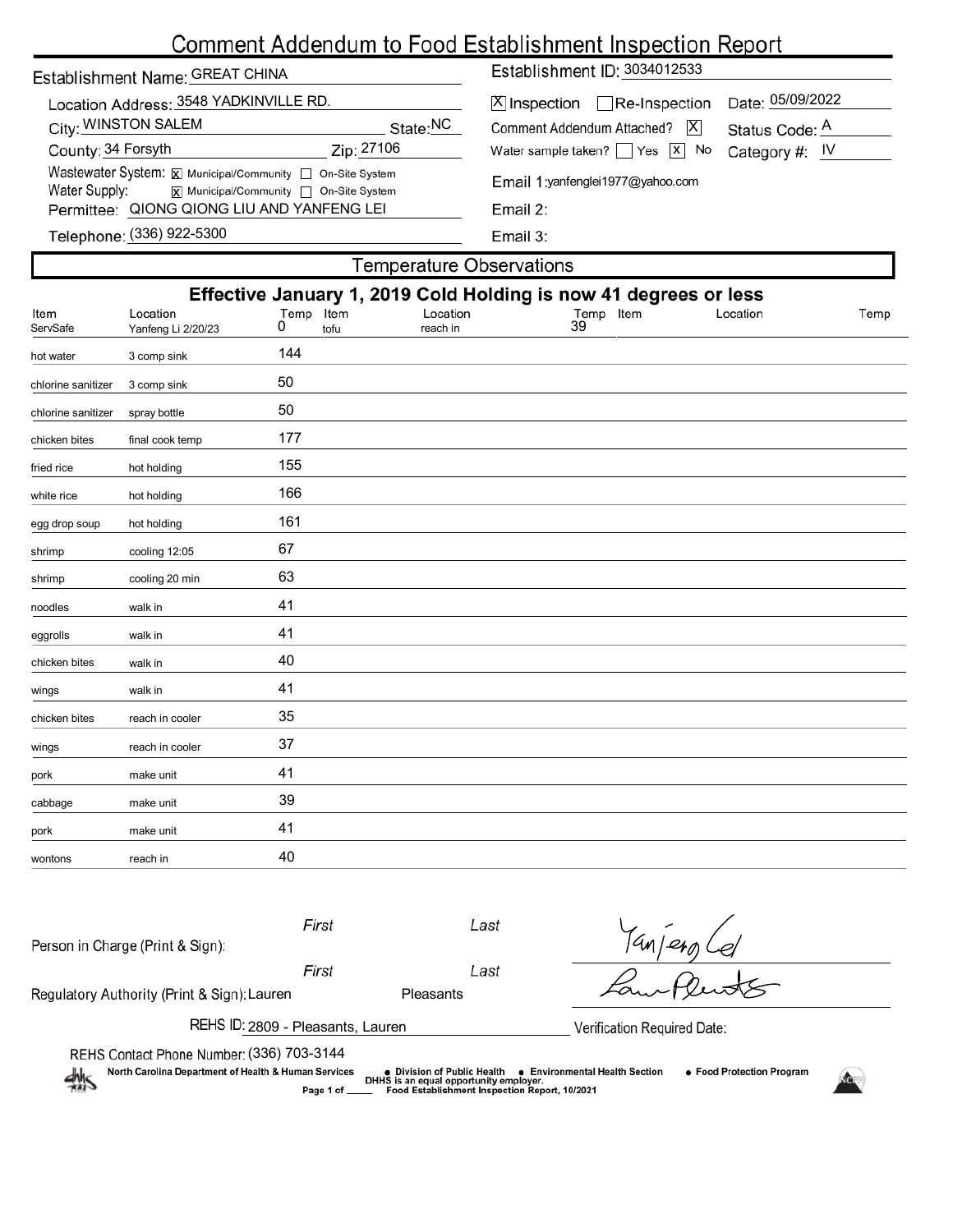# Comment Addendum to Food Establishment Inspection Report

| Establishment Name: GREAT CHINA                                                                                                                            |            | Establishment ID: 3034012533                                                       |                                    |  |  |  |
|------------------------------------------------------------------------------------------------------------------------------------------------------------|------------|------------------------------------------------------------------------------------|------------------------------------|--|--|--|
| Location Address: 3548 YADKINVILLE RD.<br>City: WINSTON SALEM                                                                                              | State:NC   | $ \mathsf{X} $ Inspection $\Box$ Re-Inspection<br>Comment Addendum Attached?<br>IХ | Date: 05/09/2022<br>Status Code: A |  |  |  |
| County: 34 Forsyth                                                                                                                                         | Zip: 27106 | Water sample taken? $\Box$ Yes $\boxed{x}$ No                                      | Category #: $IV$                   |  |  |  |
| Wastewater System: X Municipal/Community non-Site System<br>Water Supply:<br>$\boxed{\mathsf{x}}$ Municipal/Community $\boxed{\phantom{a}}$ On-Site System |            | Email 1: yanfenglei 1977@yahoo.com                                                 |                                    |  |  |  |
| Permittee: QIONG QIONG LIU AND YANFENG LEI                                                                                                                 |            | Email $2$ :                                                                        |                                    |  |  |  |
| Telephone: (336) 922-5300                                                                                                                                  |            | Email 3:                                                                           |                                    |  |  |  |

|                    |                                                                  |           |              | <b>Temperature Observations</b> |                 |          |      |  |
|--------------------|------------------------------------------------------------------|-----------|--------------|---------------------------------|-----------------|----------|------|--|
|                    | Effective January 1, 2019 Cold Holding is now 41 degrees or less |           |              |                                 |                 |          |      |  |
| Item<br>ServSafe   | Location<br>Yanfeng Li 2/20/23                                   | Temp<br>0 | Item<br>tofu | Location<br>reach in            | Temp Item<br>39 | Location | Temp |  |
| hot water          | 3 comp sink                                                      | 144       |              |                                 |                 |          |      |  |
| chlorine sanitizer | 3 comp sink                                                      | 50        |              |                                 |                 |          |      |  |
| chlorine sanitizer | spray bottle                                                     | 50        |              |                                 |                 |          |      |  |
| chicken bites      | final cook temp                                                  | 177       |              |                                 |                 |          |      |  |
| fried rice         | hot holding                                                      | 155       |              |                                 |                 |          |      |  |
| white rice         | hot holding                                                      | 166       |              |                                 |                 |          |      |  |
| egg drop soup      | hot holding                                                      | 161       |              |                                 |                 |          |      |  |
| shrimp             | cooling 12:05                                                    | 67        |              |                                 |                 |          |      |  |
| shrimp             | cooling 20 min                                                   | 63        |              |                                 |                 |          |      |  |
| noodles            | walk in                                                          | 41        |              |                                 |                 |          |      |  |
| eggrolls           | walk in                                                          | 41        |              |                                 |                 |          |      |  |
| chicken bites      | walk in                                                          | 40        |              |                                 |                 |          |      |  |
| wings              | walk in                                                          | 41        |              |                                 |                 |          |      |  |
| chicken bites      | reach in cooler                                                  | 35        |              |                                 |                 |          |      |  |

| -------------- | . <del>.</del> <b>.</b> . <b>.</b> |    |  |  |
|----------------|------------------------------------|----|--|--|
| wings          | reach in cooler                    | 37 |  |  |
| pork           | make unit                          | 41 |  |  |
| cabbage        | make unit                          | 39 |  |  |
| pork           | make unit                          | 41 |  |  |
| wontons        | reach in                           | 40 |  |  |
|                |                                    |    |  |  |

| Person in Charge (Print & Sign):                                                                                                                                                                                                                                                                                   | First                             | Last      |                             |  |  |  |  |
|--------------------------------------------------------------------------------------------------------------------------------------------------------------------------------------------------------------------------------------------------------------------------------------------------------------------|-----------------------------------|-----------|-----------------------------|--|--|--|--|
|                                                                                                                                                                                                                                                                                                                    | First                             | Last      |                             |  |  |  |  |
| Regulatory Authority (Print & Sign): Lauren                                                                                                                                                                                                                                                                        |                                   | Pleasants |                             |  |  |  |  |
|                                                                                                                                                                                                                                                                                                                    | REHS ID: 2809 - Pleasants, Lauren |           | Verification Required Date: |  |  |  |  |
| REHS Contact Phone Number: (336) 703-3144<br>North Carolina Department of Health & Human Services<br>• Food Protection Program<br><b>Environmental Health Section</b><br>● Division of Public Health<br>DHHS is an equal opportunity employer.<br>Food Establishment Inspection Report, 10/2021<br>Page 1 of _____ |                                   |           |                             |  |  |  |  |
|                                                                                                                                                                                                                                                                                                                    |                                   |           |                             |  |  |  |  |